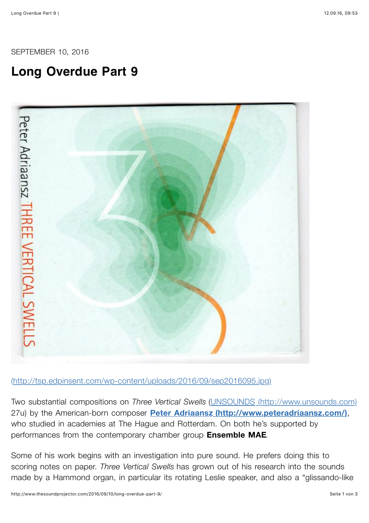SEPTEMBER 10, 2016

## **Long Overdue Part 9**



[\(http://tsp.edpinsent.com/wp-content/uploads/2016/09/sep2016095.jpg\)](http://tsp.edpinsent.com/wp-content/uploads/2016/09/sep2016095.jpg)

Two substantial compositions on *Three Vertical Swells* [\(UNSOUNDS \(http://www.unsounds.com\)](http://www.unsounds.com/) 27u) by the American-born composer **[Peter Adriaansz \(http://www.peteradriaansz.com/\)](http://www.peteradriaansz.com/)**, who studied in academies at The Hague and Rotterdam. On both he's supported by performances from the contemporary chamber group **Ensemble MAE**.

Some of his work begins with an investigation into pure sound. He prefers doing this to scoring notes on paper. *Three Vertical Swells* has grown out of his research into the sounds made by a Hammond organ, in particular its rotating Leslie speaker, and also a "glissando-like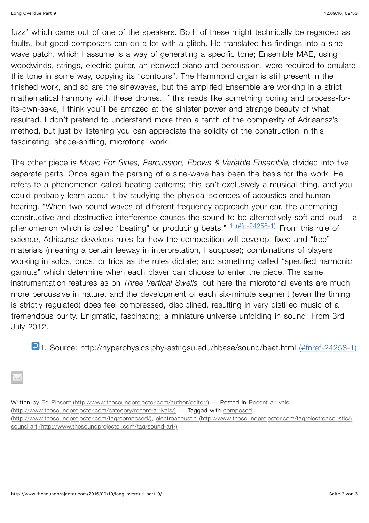Long Overdue Part 9 | 12.09.16, 09:53

fuzz" which came out of one of the speakers. Both of these might technically be regarded as faults, but good composers can do a lot with a glitch. He translated his findings into a sinewave patch, which I assume is a way of generating a specific tone; Ensemble MAE, using woodwinds, strings, electric guitar, an ebowed piano and percussion, were required to emulate this tone in some way, copying its "contours". The Hammond organ is still present in the finished work, and so are the sinewaves, but the amplified Ensemble are working in a strict mathematical harmony with these drones. If this reads like something boring and process-forits-own-sake, I think you'll be amazed at the sinister power and strange beauty of what resulted. I don't pretend to understand more than a tenth of the complexity of Adriaansz's method, but just by listening you can appreciate the solidity of the construction in this fascinating, shape-shifting, microtonal work.

The other piece is *Music For Sines, Percussion, Ebows & Variable Ensemble*, divided into five separate parts. Once again the parsing of a sine-wave has been the basis for the work. He refers to a phenomenon called beating-patterns; this isn't exclusively a musical thing, and you could probably learn about it by studying the physical sciences of acoustics and human hearing. "When two sound waves of different frequency approach your ear, the alternating constructive and destructive interference causes the sound to be alternatively soft and loud – a phenomenon which is called "beating" or producing beats."  $\frac{1}{\pi} \frac{4 \text{ m} \cdot 24258 \cdot 1}{2}$  From this rule of science, Adriaansz develops rules for how the composition will develop; fixed and "free" materials (meaning a certain leeway in interpretation, I suppose); combinations of players working in solos, duos, or trios as the rules dictate; and something called "specified harmonic gamuts" which determine when each player can choose to enter the piece. The same instrumentation features as on *Three Vertical Swells*, but here the microtonal events are much more percussive in nature, and the development of each six-minute segment (even the timing is strictly regulated) does feel compressed, disciplined, resulting in very distilled music of a tremendous purity. Enigmatic, fascinating; a miniature universe unfolding in sound. From 3rd July 2012.

2[1. Source: http://hyperphysics.phy-astr.gsu.edu/hbase/sound/beat.html \(#fnref-24258-1\)](http://www.thesoundprojector.com/2016/09/10/long-overdue-part-9/%23fnref-24258-1)

Written by [Ed Pinsent \(http://www.thesoundprojector.com/author/editor/\)](http://www.thesoundprojector.com/author/editor/) — Posted in Recent arrivals (http://www.thesoundprojector.com/category/recent-arrivals/) — Tagged with composed [\(http://www.thesoundprojector.com/tag/composed/\), electroacoustic \(http://www.thesou](http://www.thesoundprojector.com/tag/composed/)[ndprojector.com/tag/electroacoustic/\),](http://www.thesoundprojector.com/tag/electroacoustic/) [sound art \(http://www.thesoundprojector.com/tag/sound-art/\)](http://www.thesoundprojector.com/tag/sound-art/)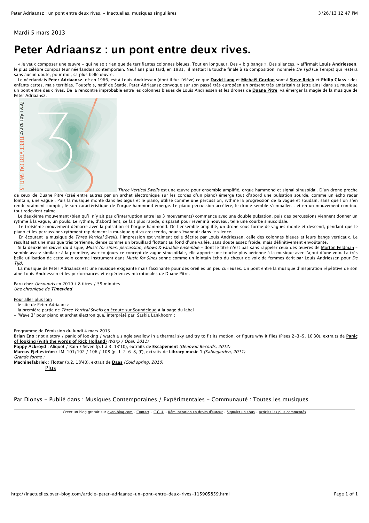Mardi 5 mars 2013

## **[Peter Adriaansz : un pont entre deux rives.](http://inactuelles.over-blog.com/article-peter-adriaansz-un-pont-entre-deux-rives-115905859.html)**

 « Je veux composer une œuvre - qui ne soit rien que de terrifiantes colonnes bleues. Tout en longueur. Des « big bangs ». Des silences. » affirmait **Louis Andriessen**, le plus célèbre compositeur néerlandais contemporain. Neuf ans plus tard, en 1981, il mettait la touche finale à sa composition nommée De Tijd (Le Temps) qui restera sans aucun doute, pour moi, sa plus belle œuvre.

 Le néerlandais **Peter Adriaansz**, né en 1966, est à Louis Andriessen (dont il fut l'élève) ce que **[David Lang](http://inactuelles.over-blog.com/article-26572545.html)** et **[Michaël Gordon](http://inactuelles.over-blog.com/article-michael-gordon-timber-f-91984057.html)** sont à **[Steve Reich](http://inactuelles.over-blog.com/article-steve-reich-wtc-9-11-87151067.html)** et **Philip Glass** : des enfants certes, mais terribles. Toutefois, natif de Seatle, Peter Adriaansz convoque sur son passé très européen un présent très américain et jette ainsi dans sa musique un pont entre deux rives. De la rencontre improbable entre les colonnes bleues de Louis Andriessen et les drones de **[Duane Pitre](http://inactuelles.over-blog.com/article-duane-pitre-feel-free-105497453.html)** va émerger la magie de la musique de Peter Adriaansz.



de ceux de Duane Pitre (créé entre autres par un archet électronique sur les cordes d'un piano) émerge tout d'abord une pulsation sourde, comme un écho radar lointain, une vague . Puis la musique monte dans les aigus et le piano, utilisé comme une percussion, rythme la progression de la vague et soudain, sans que l'on s'en rende vraiment compte, le son caractéristique de l'orgue hammond émerge. Le piano percussion accélère, le drone semble s'emballer… et en un mouvement continu, tout redevient calme.

 Le deuxième mouvement (bien qu'il n'y ait pas d'interruption entre les 3 mouvements) commence avec une double pulsation, puis des percussions viennent donner un rythme à la vague, un pouls. Le rythme, d'abord lent, se fait plus rapide, disparait pour revenir à nouveau, telle une courbe sinusoïdale.

 Le troisième mouvement démarre avec la pulsation et l'orgue hammond. De l'ensemble amplifié, un drone sous forme de vagues monte et descend, pendant que le piano et les percussions rythment rapidement la musique qui va crescendo, pour s'évanouir dans le silence.

En écoutant la musique de Three Vertical Swells, l'impression est vraiment celle décrite par Louis Andriessen, celle des colonnes bleues et leurs bangs verticaux. Le résultat est une musique très terrienne, dense comme un brouillard flottant au fond d'une vallée, sans doute assez froide, mais définitivement envoûtante.

Si la deuxième œuvre du disque, Music for sines, percussion, ebows & variable ensemble - dont le titre n'est pas sans rappeler ceux des œuvres de [Morton Feldman](http://inactuelles.over-blog.com/article-35377609.html) semble assez similaire à la première, avec toujours ce concept de vague sinusoïdale, elle apporte une touche plus aérienne à la musique avec l'ajout d'une voix. La très belle utilisation de cette voix comme instrument dans Music for Sines sonne comme un lointain écho du chœur de voix de femmes écrit par Louis Andriessen pour De Tijd.

 La musique de Peter Adriaansz est une musique exigeante mais fascinante pour des oreilles un peu curieuses. Un pont entre la musique d'inspiration répétitive de son ainé Louis Andriessen et les performances et expériences microtonales de Duane Pitre.

----------------- Paru chez Unsounds en 2010 / 8 titres / 59 minutes Une chronique de **Timewind**

Pour aller plus loin

- le [site de Peter Adriaansz](http://www.peteradriaansz.com/)

- la première partie de Three Vertical Swells [en écoute sur Soundcloud](http://soundcloud.com/unsounds_label) à la page du label
- "Wave 3" pour piano et archet électronique, interprété par Saskia Lankhoorn :

Programme de l'émission du lundi 4 mars 2013

**Brian Eno :** not a story / panic of looking / watch a single swallow in a thermal sky and try to fit its motion, or figure why it flies (Pises 2-3-5, 10'30), extraits de **Panic of looking (with the words of Rick Holland)** (Warp / Opal, 2011)

**Poppy Ackroyd :** Aliquot / Rain / Seven (p.1 à 3, 13'10), extraits de **Escapement** (Denovali Records, 2012) **Marcus Fjelleström :** LM-101/102 / 106 / 108 (p. 1-2-6-8, 9'), extraits de **Library music 1** (Kafkagarden, 2011)

Grande forme :

**Machinefabriek :** Flotter (p.2, 18'40), extrait de **Daas** (Cold spring, 2010)

[Plus](http://inactuelles.over-blog.com/article-peter-adriaansz-un-pont-entre-deux-rives-115905859.html%23)

Par Dionys - Publié dans : [Musiques Contemporaines / Expérimentales](http://inactuelles.over-blog.com/categorie-1213329.html) - Communauté : [Toutes les musiques](http://www.over-blog.com/com-1006726684/Toutes_les_musiques.html)

Créer un blog gratuit sur [over-blog.com](http://www.over-blog.com/) - [Contact](http://ann.over-blog.com/blog-contact.php?ref=573709) - [C.G.U.](http://inactuelles.over-blog.com/reglement-blog.php) - [Rémunération en droits d'auteur](http://www.over-blog.com/offres-blog/rentabiliser-son-blog.php) - [Signaler un abus](http://ann.over-blog.com/blog-abus.php?ref=573709) - [Articles les plus commentés](http://inactuelles.over-blog.com/top-articles.html)